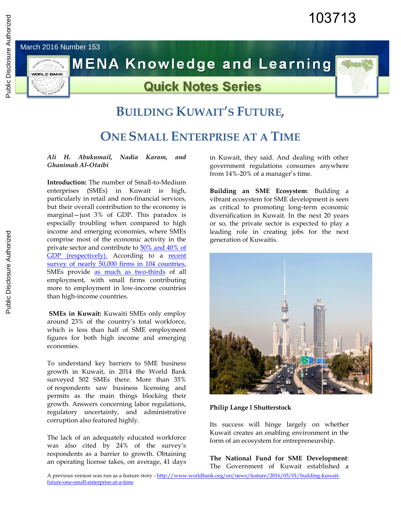# March 2016 Number 153

**WORLD BANK** 

**MENA Knowledge and Learning** 

# **Quick Notes Series**



# **BUILDING KUWAIT'S FUTURE,**

# **ONE SMALL ENTERPRISE AT A TIME**

#### *Ali H. Abukumail, Nadia Karam, and Ghanimah Al-Otaibi*

**Introduction:** The number of Small-to-Medium enterprises (SMEs) in Kuwait is high, particularly in retail and non-financial services, but their overall contribution to the economy is marginal—just 3% of GDP. This paradox is especially troubling when compared to high income and emerging economies, where SMEs comprise most of the economic activity in the private sector and contribute to [50% and 40% of](http://www.oecd.org/finance/G20-OECD-High-Level-%20Principles-on-SME-Financing.pdf)  [GDP \(respectively\).](http://www.oecd.org/finance/G20-OECD-High-Level-%20Principles-on-SME-Financing.pdf) According to a [recent](http://link.springer.com/article/10.1007/s11187-014-9549-5/fulltext.html)  survey of [nearly 50,000 firms in](http://link.springer.com/article/10.1007/s11187-014-9549-5/fulltext.html) 104 countries, SMEs provide [as much as two-thirds](http://blogs.worldbank.org/allaboutfinance/node/664) of all employment, with small firms contributing more to employment in low-income countries than high-income countries.

**SMEs in Kuwait:** Kuwaiti SMEs only employ around 23% of the country's total workforce, which is less than half of SME employment figures for both high income and emerging economies.

To understand key barriers to SME business growth in Kuwait, in 2014 the World Bank surveyed 502 SMEs there. More than 35% of respondents saw business licensing and permits as the main things blocking their growth. Answers concerning labor regulations, regulatory uncertainty, and administrative corruption also featured highly.

The lack of an adequately educated workforce was also cited by 24% of the survey's respondents as a barrier to growth. Obtaining an operating license takes, on average, 41 days

[future-one-small-enterprise-at-a-time](http://www.worldbank.org/en/news/feature/2016/03/01/building-kuwait-future-one-small-enterprise-at-a-time)

in Kuwait, they said. And dealing with other government regulations consumes anywhere from 14%-20% of a manager's time.

**Building an SME Ecosystem**: Building a vibrant ecosystem for SME development is seen as critical to promoting long-term economic diversification in Kuwait. In the next 20 years or so, the private sector is expected to play a leading role in creating jobs for the next generation of Kuwaitis.



#### **Philip Lange l Shutterstock**

Its success will hinge largely on whether Kuwait creates an enabling environment in the form of an ecosystem for entrepreneurship.

A previous version was run as a feature story [- http://www.worldbank.org/en/news/feature/2016/03/01/building-kuwait-](http://www.worldbank.org/en/news/feature/2016/03/01/building-kuwait-future-one-small-enterprise-at-a-time)**The National Fund for SME Development**: The Government of Kuwait established a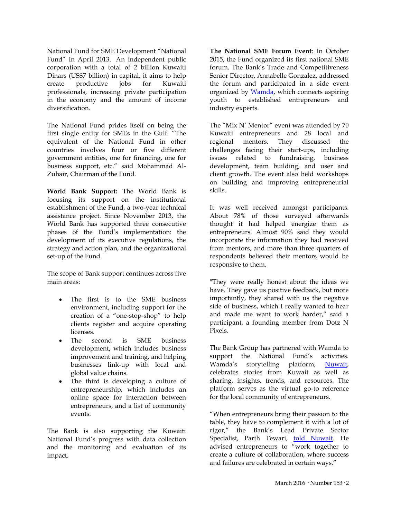National Fund for SME Development "National Fund" in April 2013. An independent public corporation with a total of 2 billion Kuwaiti Dinars (US\$7 billion) in capital, it aims to help create productive jobs for Kuwaiti professionals, increasing private participation in the economy and the amount of income diversification.

The National Fund prides itself on being the first single entity for SMEs in the Gulf. "The equivalent of the National Fund in other countries involves four or five different government entities, one for financing, one for business support, etc." said Mohammad Al-Zuhair, Chairman of the Fund.

**World Bank Support:** The World Bank is focusing its support on the institutional establishment of the Fund, a two-year technical assistance project. Since November 2013, the World Bank has supported three consecutive phases of the Fund's implementation: the development of its executive regulations, the strategy and action plan, and the organizational set-up of the Fund.

The scope of Bank support continues across five main areas:

- The first is to the SME business environment, including support for the creation of a "one-stop-shop" to help clients register and acquire operating licenses.
- The second is SME business development, which includes business improvement and training, and helping businesses link-up with local and global value chains.
- The third is developing a culture of entrepreneurship, which includes an online space for interaction between entrepreneurs, and a list of community events.

The Bank is also supporting the Kuwaiti National Fund's progress with data collection and the monitoring and evaluation of its impact.

**The National SME Forum Event**: In October 2015, the Fund organized its first national SME forum. The Bank's Trade and Competitiveness Senior Director, Annabelle Gonzalez, addressed the forum and participated in a side event organized by [Wamda,](http://www.wamda.com/) which connects aspiring youth to established entrepreneurs and industry experts.

The "Mix N' Mentor" event was attended by 70 Kuwaiti entrepreneurs and 28 local and regional mentors. They discussed the challenges facing their start-ups, including issues related to fundraising, business development, team building, and user and client growth. The event also held workshops on building and improving entrepreneurial skills.

It was well received amongst participants. About 78% of those surveyed afterwards thought it had helped energize them as entrepreneurs. Almost 90% said they would incorporate the information they had received from mentors, and more than three quarters of respondents believed their mentors would be responsive to them.

"They were really honest about the ideas we have. They gave us positive feedback, but more importantly, they shared with us the negative side of business, which I really wanted to hear and made me want to work harder," said a participant, a founding member from Dotz N Pixels.

The Bank Group has partnered with Wamda to support the National Fund's activities. Wamda's storytelling platform, [Nuwait,](http://nuwait.net.kw/)  celebrates stories from Kuwait as well as sharing, insights, trends, and resources. The platform serves as the virtual go-to reference for the local community of entrepreneurs.

"When entrepreneurs bring their passion to the table, they have to complement it with a lot of rigor," the Bank's Lead Private Sector Specialist, Parth Tewari, [told Nuwait.](http://nuwait.net.kw/video/celebrating-failure-important-kuwait-entrepreneurs) He advised entrepreneurs to "work together to create a culture of collaboration, where success and failures are celebrated in certain ways."